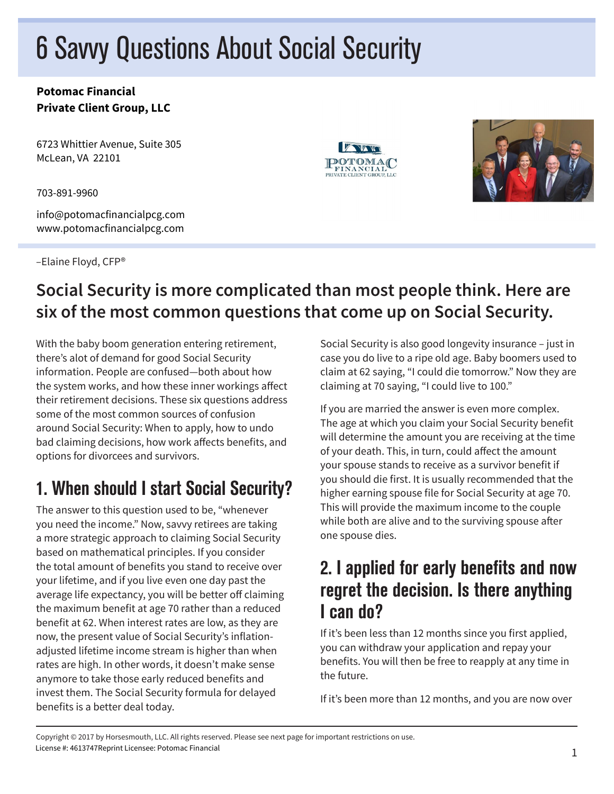# 6 Savvy Questions About Social Security

#### **Potomac Financial Private Client Group, LLC**

6723 Whittier Avenue, Suite 305 McLean, VA 22101

703-891-9960

info@potomacfinancialpcg.com www.potomacfinancialpcg.com

–Elaine Floyd, CFP®





# **Social Security is more complicated than most people think. Here are six of the most common questions that come up on Social Security.**

With the baby boom generation entering retirement, there's alot of demand for good Social Security information. People are confused—both about how the system works, and how these inner workings affect their retirement decisions. These six questions address some of the most common sources of confusion around Social Security: When to apply, how to undo bad claiming decisions, how work affects benefits, and options for divorcees and survivors.

# 1. When should I start Social Security?

The answer to this question used to be, "whenever you need the income." Now, savvy retirees are taking a more strategic approach to claiming Social Security based on mathematical principles. If you consider the total amount of benefits you stand to receive over your lifetime, and if you live even one day past the average life expectancy, you will be better off claiming the maximum benefit at age 70 rather than a reduced benefit at 62. When interest rates are low, as they are now, the present value of Social Security's inflationadjusted lifetime income stream is higher than when rates are high. In other words, it doesn't make sense anymore to take those early reduced benefits and invest them. The Social Security formula for delayed benefits is a better deal today.

Social Security is also good longevity insurance – just in case you do live to a ripe old age. Baby boomers used to claim at 62 saying, "I could die tomorrow." Now they are claiming at 70 saying, "I could live to 100."

If you are married the answer is even more complex. The age at which you claim your Social Security benefit will determine the amount you are receiving at the time of your death. This, in turn, could affect the amount your spouse stands to receive as a survivor benefit if you should die first. It is usually recommended that the higher earning spouse file for Social Security at age 70. This will provide the maximum income to the couple while both are alive and to the surviving spouse after one spouse dies.

## 2. I applied for early benefits and now regret the decision. Is there anything I can do?

If it's been less than 12 months since you first applied, you can withdraw your application and repay your benefits. You will then be free to reapply at any time in the future.

If it's been more than 12 months, and you are now over

Copyright © 2017 by Horsesmouth, LLC. All rights reserved. Please see next page for important restrictions on use. License #: 4613747Reprint Licensee: Potomac Financial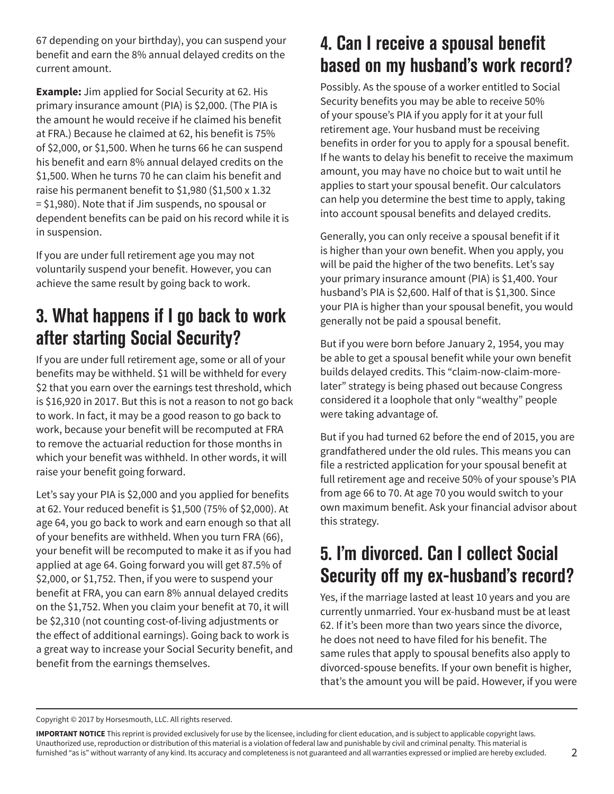67 depending on your birthday), you can suspend your benefit and earn the 8% annual delayed credits on the current amount.

**Example:** Jim applied for Social Security at 62. His primary insurance amount (PIA) is \$2,000. (The PIA is the amount he would receive if he claimed his benefit at FRA.) Because he claimed at 62, his benefit is 75% of \$2,000, or \$1,500. When he turns 66 he can suspend his benefit and earn 8% annual delayed credits on the \$1,500. When he turns 70 he can claim his benefit and raise his permanent benefit to \$1,980 (\$1,500 x 1.32 = \$1,980). Note that if Jim suspends, no spousal or dependent benefits can be paid on his record while it is in suspension.

If you are under full retirement age you may not voluntarily suspend your benefit. However, you can achieve the same result by going back to work.

# 3. What happens if I go back to work after starting Social Security?

If you are under full retirement age, some or all of your benefits may be withheld. \$1 will be withheld for every \$2 that you earn over the earnings test threshold, which is \$16,920 in 2017. But this is not a reason to not go back to work. In fact, it may be a good reason to go back to work, because your benefit will be recomputed at FRA to remove the actuarial reduction for those months in which your benefit was withheld. In other words, it will raise your benefit going forward.

Let's say your PIA is \$2,000 and you applied for benefits at 62. Your reduced benefit is \$1,500 (75% of \$2,000). At age 64, you go back to work and earn enough so that all of your benefits are withheld. When you turn FRA (66), your benefit will be recomputed to make it as if you had applied at age 64. Going forward you will get 87.5% of \$2,000, or \$1,752. Then, if you were to suspend your benefit at FRA, you can earn 8% annual delayed credits on the \$1,752. When you claim your benefit at 70, it will be \$2,310 (not counting cost-of-living adjustments or the effect of additional earnings). Going back to work is a great way to increase your Social Security benefit, and benefit from the earnings themselves.

# 4. Can I receive a spousal benefit based on my husband's work record?

Possibly. As the spouse of a worker entitled to Social Security benefits you may be able to receive 50% of your spouse's PIA if you apply for it at your full retirement age. Your husband must be receiving benefits in order for you to apply for a spousal benefit. If he wants to delay his benefit to receive the maximum amount, you may have no choice but to wait until he applies to start your spousal benefit. Our calculators can help you determine the best time to apply, taking into account spousal benefits and delayed credits.

Generally, you can only receive a spousal benefit if it is higher than your own benefit. When you apply, you will be paid the higher of the two benefits. Let's say your primary insurance amount (PIA) is \$1,400. Your husband's PIA is \$2,600. Half of that is \$1,300. Since your PIA is higher than your spousal benefit, you would generally not be paid a spousal benefit.

But if you were born before January 2, 1954, you may be able to get a spousal benefit while your own benefit builds delayed credits. This "claim-now-claim-morelater" strategy is being phased out because Congress considered it a loophole that only "wealthy" people were taking advantage of.

But if you had turned 62 before the end of 2015, you are grandfathered under the old rules. This means you can file a restricted application for your spousal benefit at full retirement age and receive 50% of your spouse's PIA from age 66 to 70. At age 70 you would switch to your own maximum benefit. Ask your financial advisor about this strategy.

# 5. I'm divorced. Can I collect Social Security off my ex-husband's record?

Yes, if the marriage lasted at least 10 years and you are currently unmarried. Your ex-husband must be at least 62. If it's been more than two years since the divorce, he does not need to have filed for his benefit. The same rules that apply to spousal benefits also apply to divorced-spouse benefits. If your own benefit is higher, that's the amount you will be paid. However, if you were

Copyright © 2017 by Horsesmouth, LLC. All rights reserved.

**IMPORTANT NOTICE** This reprint is provided exclusively for use by the licensee, including for client education, and is subject to applicable copyright laws. Unauthorized use, reproduction or distribution of this material is a violation of federal law and punishable by civil and criminal penalty. This material is furnished "as is" without warranty of any kind. Its accuracy and completeness is not guaranteed and all warranties expressed or implied are hereby excluded.